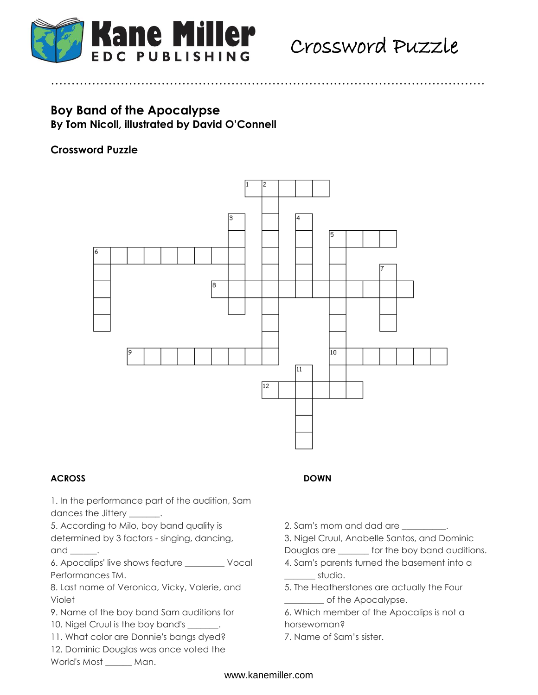

# **Boy Band of the Apocalypse**

**By Tom Nicoll, illustrated by David O'Connell**

## **Crossword Puzzle**



…………………………………………………………………………………………….

### **ACROSS DOWN**

1. In the performance part of the audition, Sam dances the Jittery \_\_\_\_\_\_\_.

5. According to Milo, boy band quality is determined by 3 factors - singing, dancing,

and  $\_\_\_\_\_\$ .

6. Apocalips' live shows feature \_\_\_\_\_\_\_\_\_ Vocal Performances TM.

8. Last name of Veronica, Vicky, Valerie, and Violet

9. Name of the boy band Sam auditions for

10. Nigel Cruul is the boy band's ...

11. What color are Donnie's bangs dyed? 12. Dominic Douglas was once voted the

World's Most \_\_\_\_\_\_ Man.

- 
- 2. Sam's mom and dad are \_\_\_\_\_\_\_\_\_\_.
- 3. Nigel Cruul, Anabelle Santos, and Dominic
- Douglas are \_\_\_\_\_\_\_ for the boy band auditions.
- 4. Sam's parents turned the basement into a  $\_$ studio.
- 5. The Heatherstones are actually the Four of the Apocalypse.
- 6. Which member of the Apocalips is not a horsewoman?
- 7. Name of Sam's sister.

### www.kanemiller.com